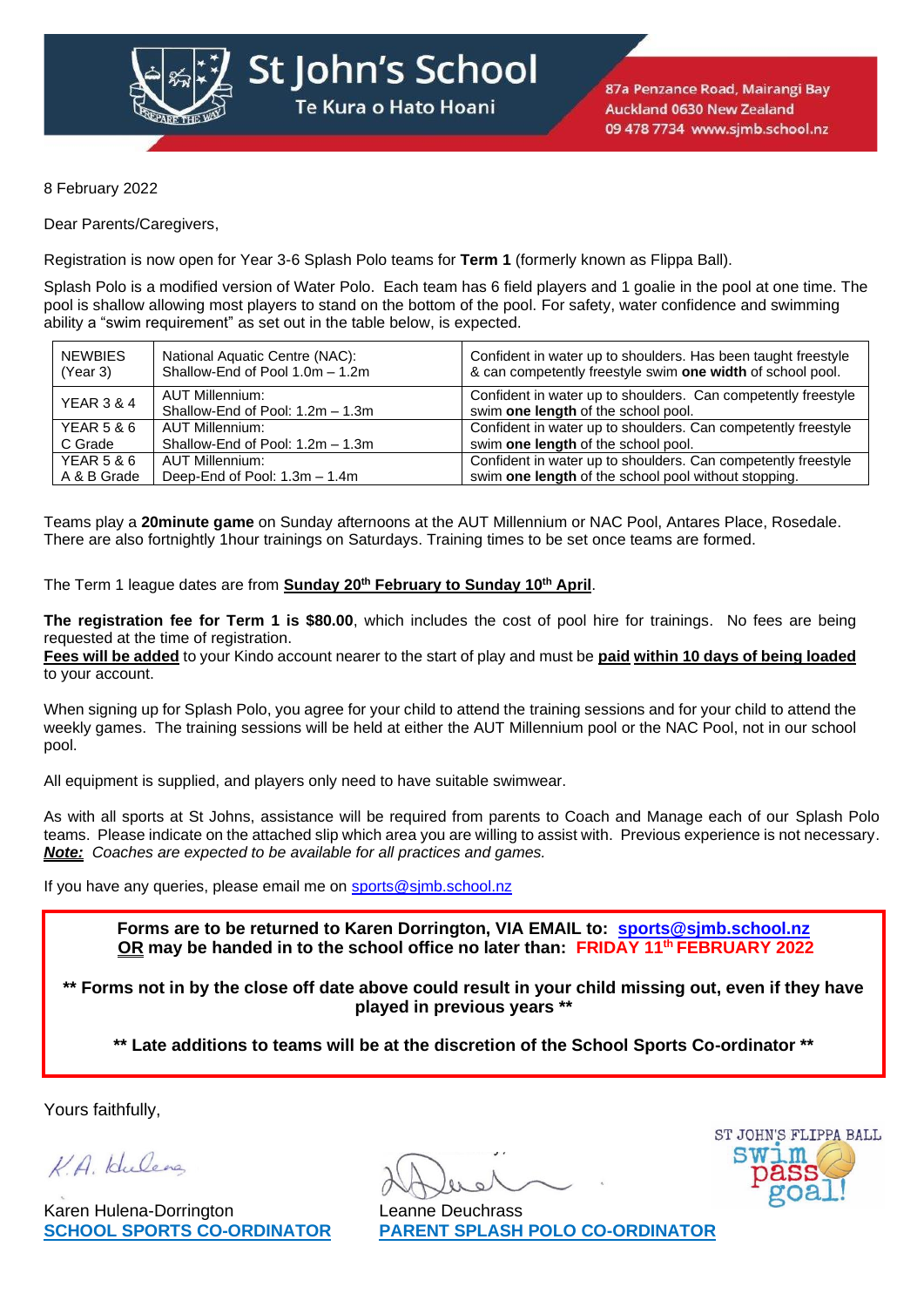

St John's School

Te Kura o Hato Hoani

8 February 2022

Dear Parents/Caregivers,

Registration is now open for Year 3-6 Splash Polo teams for **Term 1** (formerly known as Flippa Ball).

Splash Polo is a modified version of Water Polo. Each team has 6 field players and 1 goalie in the pool at one time. The pool is shallow allowing most players to stand on the bottom of the pool. For safety, water confidence and swimming ability a "swim requirement" as set out in the table below, is expected.

| <b>NEWBIES</b><br>(Year 3)       | National Aquatic Centre (NAC):<br>Shallow-End of Pool 1.0m - 1.2m | Confident in water up to shoulders. Has been taught freestyle<br>& can competently freestyle swim one width of school pool. |  |  |  |  |  |
|----------------------------------|-------------------------------------------------------------------|-----------------------------------------------------------------------------------------------------------------------------|--|--|--|--|--|
| <b>YEAR 3 &amp; 4</b>            | AUT Millennium:<br>Shallow-End of Pool: 1.2m - 1.3m               | Confident in water up to shoulders. Can competently freestyle<br>swim one length of the school pool.                        |  |  |  |  |  |
| <b>YEAR 5 &amp; 6</b><br>C Grade | AUT Millennium:<br>Shallow-End of Pool: 1.2m - 1.3m               | Confident in water up to shoulders. Can competently freestyle<br>swim one length of the school pool.                        |  |  |  |  |  |
| <b>YEAR 5 &amp; 6</b>            | AUT Millennium:                                                   | Confident in water up to shoulders. Can competently freestyle                                                               |  |  |  |  |  |
| A & B Grade                      | Deep-End of Pool: 1.3m - 1.4m                                     | swim one length of the school pool without stopping.                                                                        |  |  |  |  |  |

Teams play a **20minute game** on Sunday afternoons at the AUT Millennium or NAC Pool, Antares Place, Rosedale. There are also fortnightly 1hour trainings on Saturdays. Training times to be set once teams are formed.

The Term 1 league dates are from **Sunday 20 th February to Sunday 10 th April**.

**The registration fee for Term 1 is \$80.00**, which includes the cost of pool hire for trainings. No fees are being requested at the time of registration.

**Fees will be added** to your Kindo account nearer to the start of play and must be **paid within 10 days of being loaded** to your account.

When signing up for Splash Polo, you agree for your child to attend the training sessions and for your child to attend the weekly games. The training sessions will be held at either the AUT Millennium pool or the NAC Pool, not in our school pool.

All equipment is supplied, and players only need to have suitable swimwear.

As with all sports at St Johns, assistance will be required from parents to Coach and Manage each of our Splash Polo teams. Please indicate on the attached slip which area you are willing to assist with. Previous experience is not necessary. *Note: Coaches are expected to be available for all practices and games.*

If you have any queries, please email me on sports@sjmb.school.nz

**Forms are to be returned to Karen Dorrington, VIA EMAIL to: [sports@sjmb.school.nz](mailto:sports@sjmb.school.nz) OR may be handed in to the school office no later than: FRIDAY 11th FEBRUARY 2022**

**\*\* Forms not in by the close off date above could result in your child missing out, even if they have played in previous years \*\***

**\*\* Late additions to teams will be at the discretion of the School Sports Co-ordinator \*\***

Yours faithfully,

K.A. Hulena

Karen Hulena-Dorrington Leanne Deuchrass



**SCHOOL SPORTS CO-ORDINATOR PARENT SPLASH POLO CO-ORDINATOR**